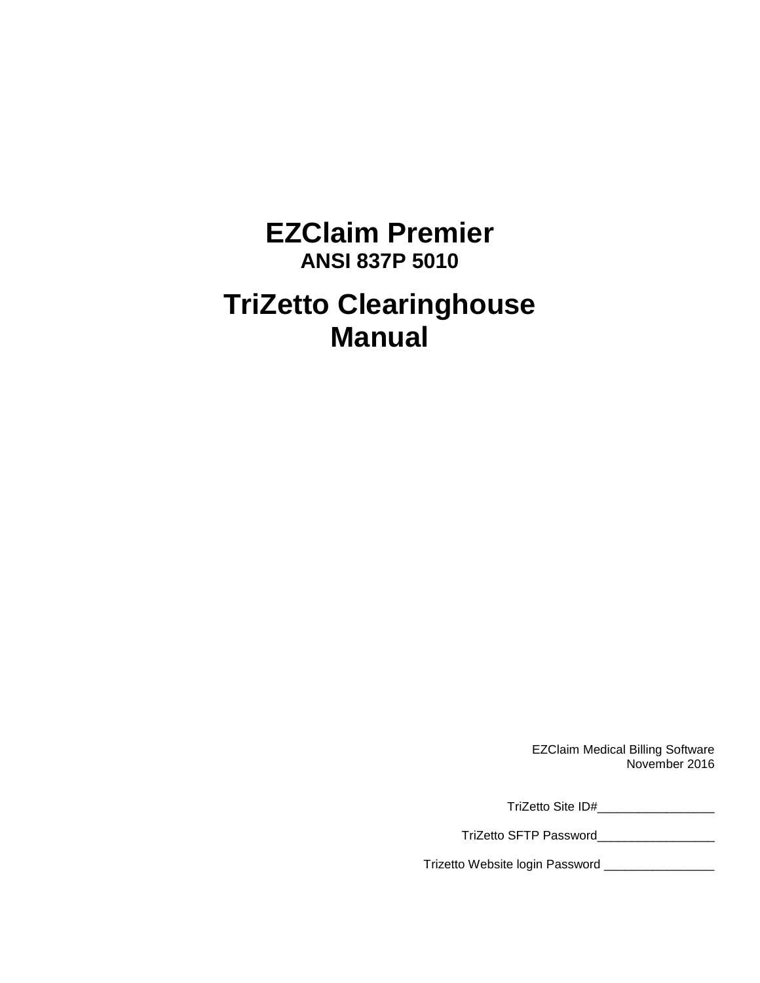# **EZClaim Premier ANSI 837P 5010 TriZetto Clearinghouse Manual**

EZClaim Medical Billing Software November 2016

TriZetto Site ID#\_\_\_\_\_\_\_\_\_\_\_\_\_\_\_\_\_

TriZetto SFTP Password\_\_\_\_\_\_\_\_\_\_\_\_\_\_\_\_\_

Trizetto Website login Password \_\_\_\_\_\_\_\_\_\_\_\_\_\_\_\_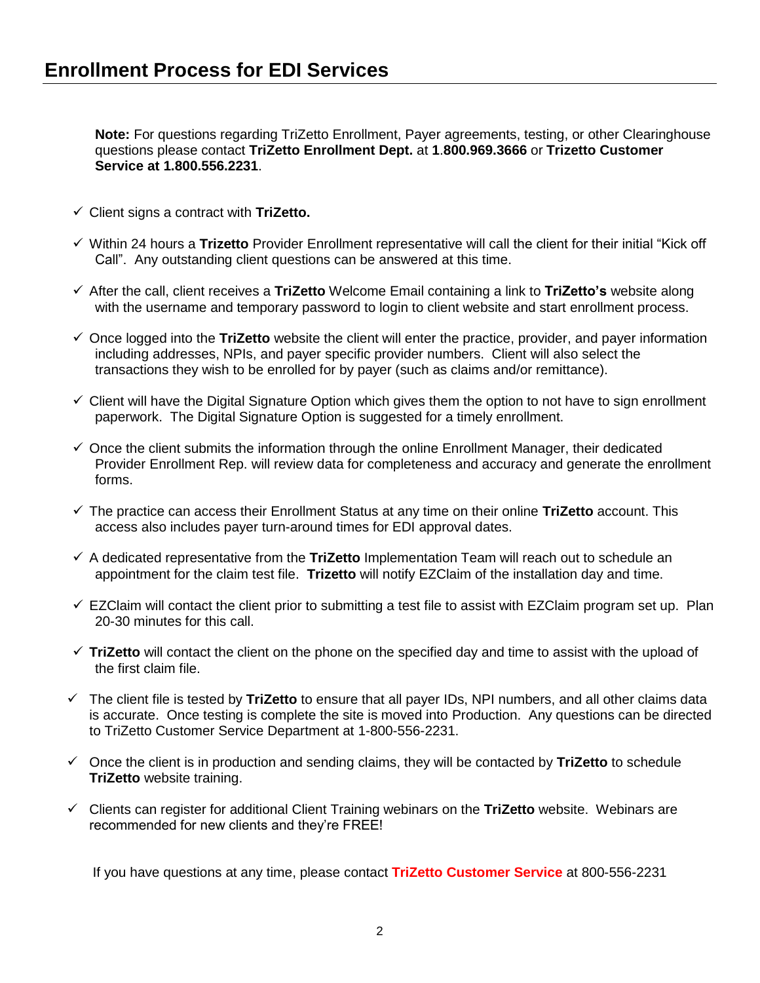**Note:** For questions regarding TriZetto Enrollment, Payer agreements, testing, or other Clearinghouse questions please contact **TriZetto Enrollment Dept.** at **1**.**800.969.3666** or **Trizetto Customer Service at 1.800.556.2231**.

- Client signs a contract with **TriZetto.**
- Within 24 hours a **Trizetto** Provider Enrollment representative will call the client for their initial "Kick off Call". Any outstanding client questions can be answered at this time.
- After the call, client receives a **TriZetto** Welcome Email containing a link to **TriZetto's** website along with the username and temporary password to login to client website and start enrollment process.
- $\checkmark$  Once logged into the **TriZetto** website the client will enter the practice, provider, and payer information including addresses, NPIs, and payer specific provider numbers. Client will also select the transactions they wish to be enrolled for by payer (such as claims and/or remittance).
- $\checkmark$  Client will have the Digital Signature Option which gives them the option to not have to sign enrollment paperwork. The Digital Signature Option is suggested for a timely enrollment.
- $\checkmark$  Once the client submits the information through the online Enrollment Manager, their dedicated Provider Enrollment Rep. will review data for completeness and accuracy and generate the enrollment forms.
- The practice can access their Enrollment Status at any time on their online **TriZetto** account. This access also includes payer turn-around times for EDI approval dates.
- A dedicated representative from the **TriZetto** Implementation Team will reach out to schedule an appointment for the claim test file. **Trizetto** will notify EZClaim of the installation day and time.
- $\checkmark$  EZClaim will contact the client prior to submitting a test file to assist with EZClaim program set up. Plan 20-30 minutes for this call.
- $\checkmark$  TriZetto will contact the client on the phone on the specified day and time to assist with the upload of the first claim file.
- The client file is tested by **TriZetto** to ensure that all payer IDs, NPI numbers, and all other claims data is accurate. Once testing is complete the site is moved into Production. Any questions can be directed to TriZetto Customer Service Department at 1-800-556-2231.
- Once the client is in production and sending claims, they will be contacted by **TriZetto** to schedule **TriZetto** website training.
- Clients can register for additional Client Training webinars on the **TriZetto** website. Webinars are recommended for new clients and they're FREE!

If you have questions at any time, please contact **TriZetto Customer Service** at 800-556-2231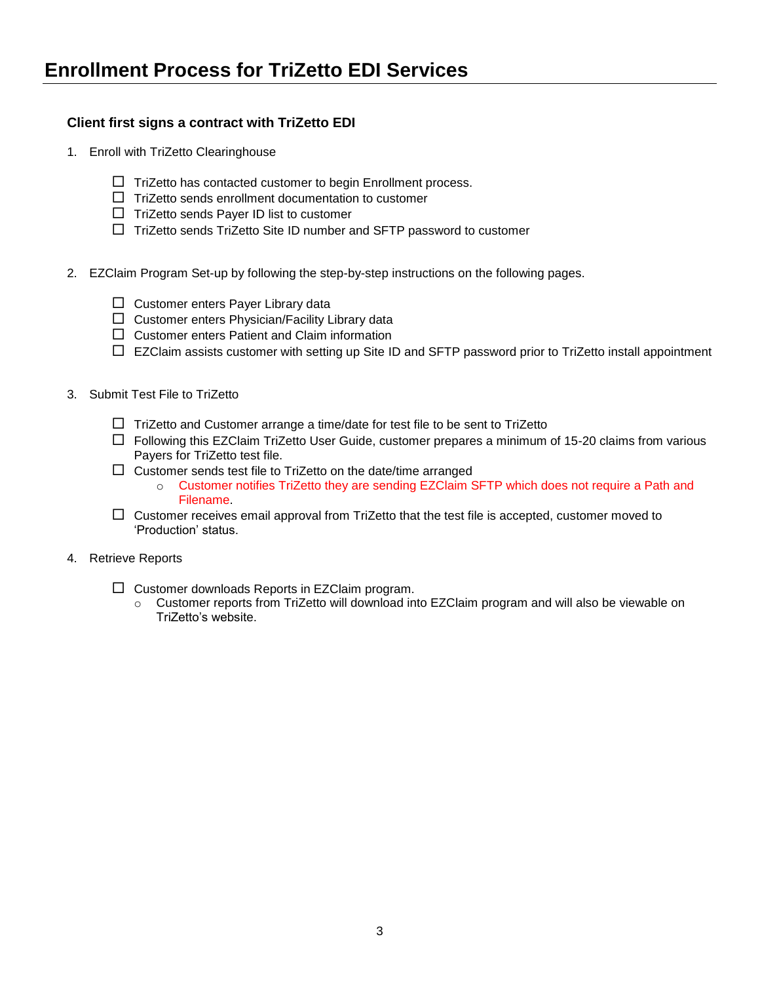#### **Client first signs a contract with TriZetto EDI**

- 1. Enroll with TriZetto Clearinghouse
	- $\Box$  TriZetto has contacted customer to begin Enrollment process.
	- $\Box$  TriZetto sends enrollment documentation to customer
	- $\Box$  TriZetto sends Payer ID list to customer
	- $\Box$  TriZetto sends TriZetto Site ID number and SFTP password to customer
- 2. EZClaim Program Set-up by following the step-by-step instructions on the following pages.
	- $\Box$  Customer enters Payer Library data
	- $\Box$  Customer enters Physician/Facility Library data
	- $\square$  Customer enters Patient and Claim information
	- $\Box$  EZClaim assists customer with setting up Site ID and SFTP password prior to TriZetto install appointment
- 3. Submit Test File to TriZetto
	- $\Box$  TriZetto and Customer arrange a time/date for test file to be sent to TriZetto
	- $\Box$  Following this EZClaim TriZetto User Guide, customer prepares a minimum of 15-20 claims from various Payers for TriZetto test file.
	- $\Box$  Customer sends test file to TriZetto on the date/time arranged
		- o Customer notifies TriZetto they are sending EZClaim SFTP which does not require a Path and Filename.
	- $\Box$  Customer receives email approval from TriZetto that the test file is accepted, customer moved to 'Production' status.
- 4. Retrieve Reports
	- $\square$  Customer downloads Reports in EZClaim program.
		- o Customer reports from TriZetto will download into EZClaim program and will also be viewable on TriZetto's website.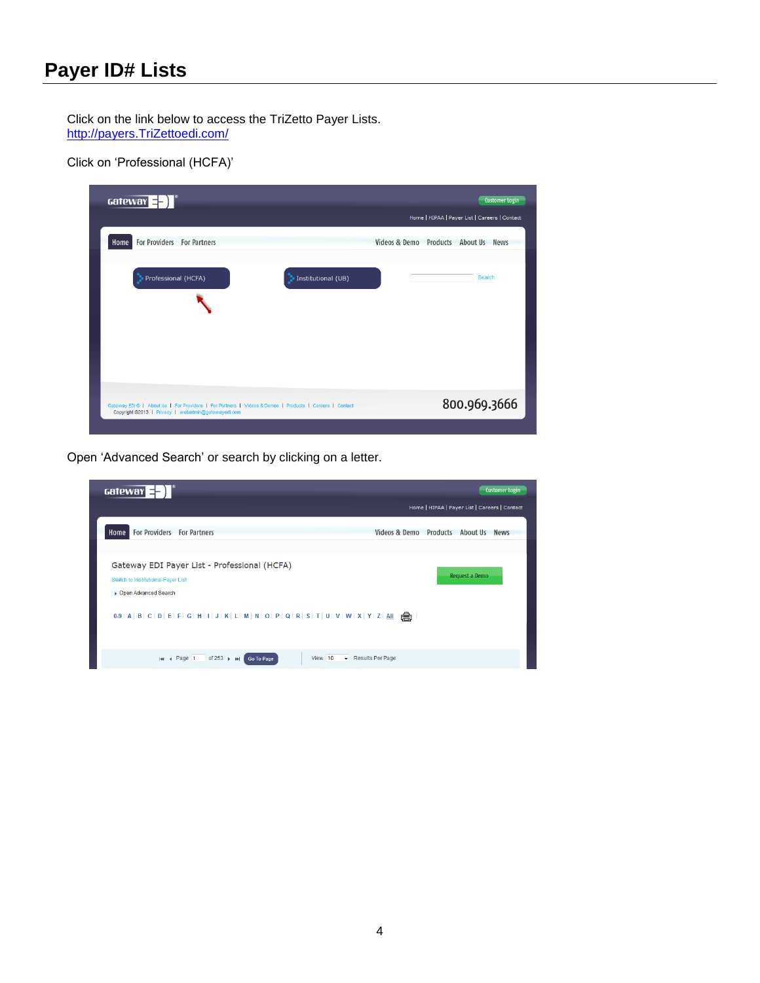## **Payer ID# Lists**

Click on the link below to access the TriZetto Payer Lists. [http://payers.TriZettoedi.com/](http://payers.gatewayedi.com/)

Click on 'Professional (HCFA)'

| $\text{Gateway} = \text{F}$                                                                                                                                   | Customer Login                                 |
|---------------------------------------------------------------------------------------------------------------------------------------------------------------|------------------------------------------------|
|                                                                                                                                                               | Home   HIPAA   Payer List   Careers   Contact  |
| For Providers For Partners<br>Home                                                                                                                            | Videos & Demo Products About Us<br><b>News</b> |
| Professional (HCFA)<br>Institutional (UB)                                                                                                                     | Search                                         |
|                                                                                                                                                               |                                                |
| Gateway EDI®   About Us   For Providers   For Partners   Videos & Demos   Products   Careers   Contact<br>Copyright @2013   Privacy   webadmin@gatewayedi.com | 800.969.3666                                   |
|                                                                                                                                                               |                                                |

Open 'Advanced Search' or search by clicking on a letter.

| Gateway $\equiv$ $\equiv$ $\parallel$                                                                                                                                                                                                    | <b>Customer Login</b>                         |
|------------------------------------------------------------------------------------------------------------------------------------------------------------------------------------------------------------------------------------------|-----------------------------------------------|
|                                                                                                                                                                                                                                          | Home   HIPAA   Payer List   Careers   Contact |
| For Providers For Partners<br>Home                                                                                                                                                                                                       | Videos & Demo Products About Us News          |
| Gateway EDI Payer List - Professional (HCFA)<br>Switch to Institutional Payer List<br>▶ Open Advanced Search<br>0-9   A   B   C   D   E   F   G   H   I   J   K   L   M   N   O   P   Q   R   S   T   U   V   W   X   Y   Z   All $\Box$ | Request a Demo                                |
| View 10<br>of $253 + H$<br>Results Per Page<br>144 4 Page 1<br>Go To Page                                                                                                                                                                |                                               |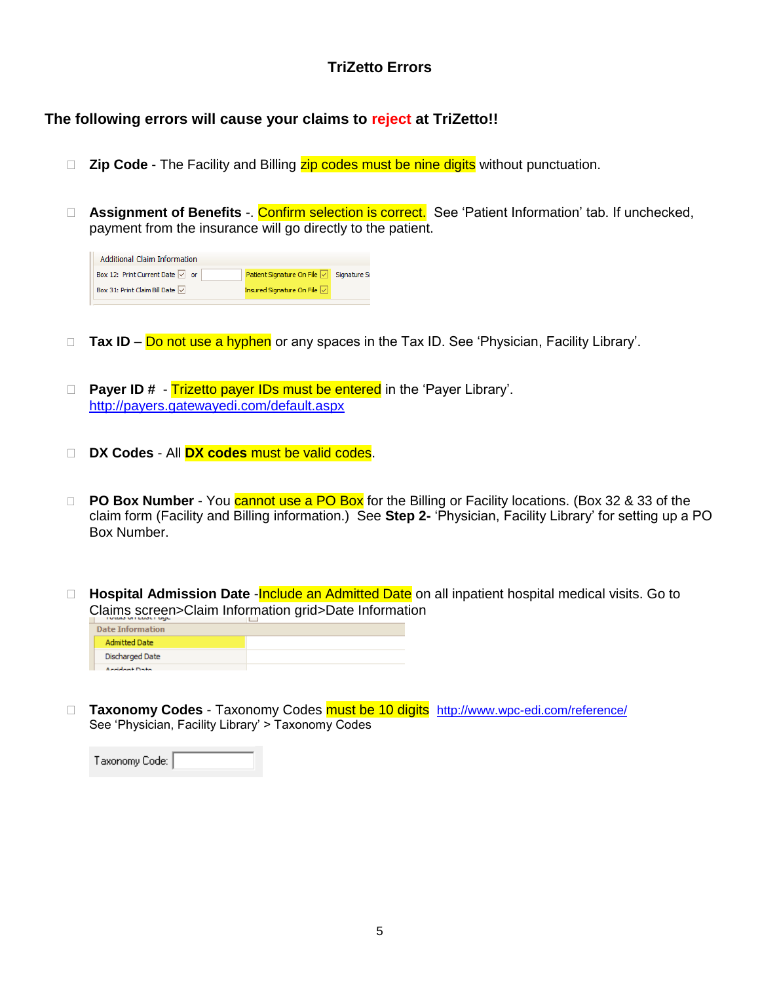### **TriZetto Errors**

#### **The following errors will cause your claims to reject at TriZetto!!**

- □ Zip Code The Facility and Billing zip codes must be nine digits without punctuation.
- □ **Assignment of Benefits** -. Confirm selection is correct. See 'Patient Information' tab. If unchecked, payment from the insurance will go directly to the patient.

| <b>Additional Claim Information</b>            |                             |              |
|------------------------------------------------|-----------------------------|--------------|
| Box 12: Print Current Date $\boxed{\smile}$ or | Patient Signature On File   | Signature So |
| Box 31: Print Claim Bill Date $\boxed{\vee}$   | Insured Signature On File V |              |

- □ Tax ID Do not use a hyphen or any spaces in the Tax ID. See 'Physician, Facility Library'.
- □ Payer ID # Trizetto payer IDs must be entered in the 'Payer Library'. <http://payers.gatewayedi.com/default.aspx>
- **DX Codes** All **DX codes** must be valid codes.
- □ **PO Box Number** You cannot use a PO Box for the Billing or Facility locations. (Box 32 & 33 of the claim form (Facility and Billing information.) See **Step 2-** 'Physician, Facility Library' for setting up a PO Box Number.
- □ **Hospital Admission Date Include an Admitted Date** on all inpatient hospital medical visits. Go to Claims screen>Claim Information grid>Date Information

| <b>Date Information</b> |  |
|-------------------------|--|
| <b>Admitted Date</b>    |  |
| Discharged Date         |  |
| Analdmak Disks          |  |

 **Taxonomy Codes** - Taxonomy Codes must be 10 digits <http://www.wpc-edi.com/reference/> See 'Physician, Facility Library' > Taxonomy Codes

| Taxonomy Code: |  |
|----------------|--|
|----------------|--|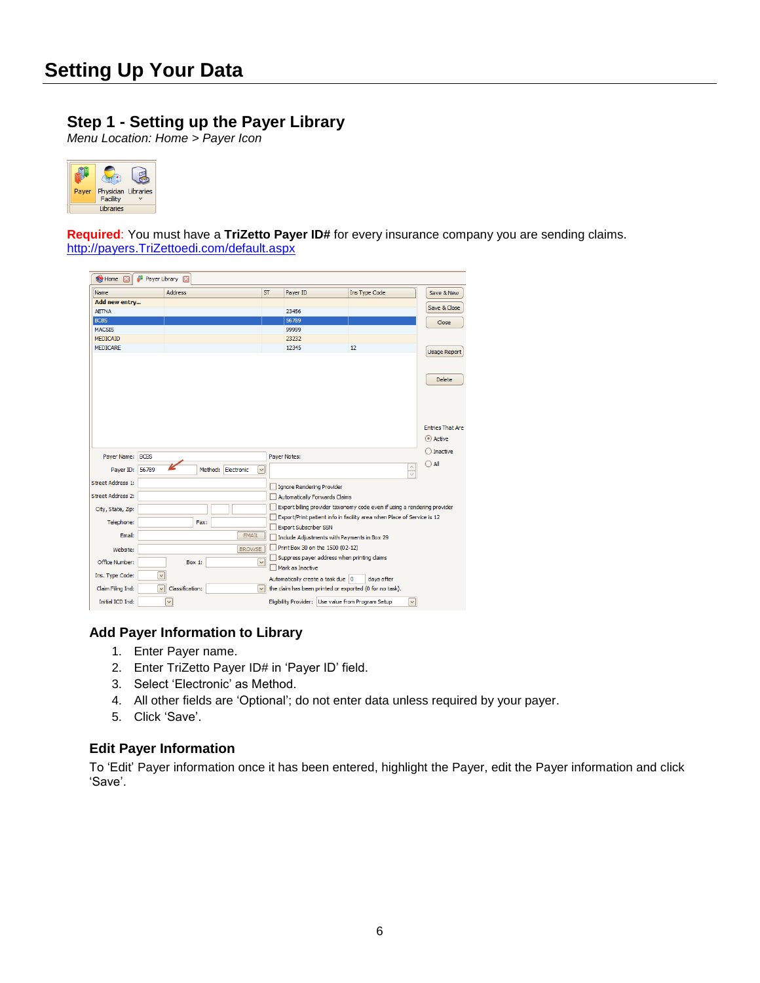### **Step 1 - Setting up the Payer Library**

*Menu Location: Home > Payer Icon*



**Required**: You must have a **TriZetto Payer ID#** for every insurance company you are sending claims. [http://payers.TriZettoedi.com/default.aspx](http://payers.gatewayedi.com/default.aspx)

| <b>Rey Home X</b>        | Payer Library [2]       |                 |      |                    |                   |                                      |                                                                          |                      |                                          |
|--------------------------|-------------------------|-----------------|------|--------------------|-------------------|--------------------------------------|--------------------------------------------------------------------------|----------------------|------------------------------------------|
| Name                     |                         | <b>Address</b>  |      |                    | <b>ST</b>         | Payer ID                             | Ins Type Code                                                            |                      | Save & New                               |
| Add new entry            |                         |                 |      |                    |                   |                                      |                                                                          |                      | Save & Close                             |
| <b>AETNA</b>             |                         |                 |      |                    |                   | 23456                                |                                                                          |                      |                                          |
| <b>BCBS</b>              |                         |                 |      |                    |                   | 56789                                |                                                                          |                      | Close                                    |
| <b>MACSIS</b>            |                         |                 |      |                    |                   | 99999                                |                                                                          |                      |                                          |
| <b>MEDICAID</b>          |                         |                 |      |                    |                   | 23232                                |                                                                          |                      |                                          |
| <b>MEDICARE</b>          |                         |                 |      |                    |                   | 12345                                | 12                                                                       |                      | <b>Usage Report</b>                      |
|                          |                         |                 |      |                    |                   |                                      |                                                                          |                      | <b>Delete</b><br><b>Entries That Are</b> |
|                          |                         |                 |      |                    |                   |                                      |                                                                          |                      | (.) Active<br>◯ Inactive                 |
| Payer Name:              | <b>BCBS</b>             |                 |      |                    |                   | Payer Notes:                         |                                                                          |                      |                                          |
| Payer ID:                | 56789                   |                 |      | Method: Electronic | $\checkmark$      |                                      |                                                                          | $\land$<br>$\sqrt{}$ | $\bigcap$ All                            |
| <b>Street Address 1:</b> |                         |                 |      |                    |                   | <b>Ignore Rendering Provider</b>     |                                                                          |                      |                                          |
| <b>Street Address 2:</b> |                         |                 |      |                    |                   | <b>Automatically Forwards Claims</b> |                                                                          |                      |                                          |
| City, State, Zip:        |                         |                 |      |                    |                   |                                      | Export billing provider taxonomy code even if using a rendering provider |                      |                                          |
|                          |                         |                 |      |                    |                   |                                      | Export/Print patient info in facility area when Place of Service is 12   |                      |                                          |
| Telephone:               |                         |                 | Fax: |                    |                   | <b>Export Subscriber SSN</b>         |                                                                          |                      |                                          |
| Email:                   |                         |                 |      | <b>EMAIL</b>       |                   |                                      | Include Adjustments with Payments in Box 29                              |                      |                                          |
| Website:                 |                         |                 |      | <b>BROWSE</b>      |                   | Print Box 30 on the 1500 (02-12)     |                                                                          |                      |                                          |
| Office Number:           |                         | Box 1:          |      |                    | $\overline{\vee}$ | Mark as Inactive                     | Suppress payer address when printing claims                              |                      |                                          |
| Ins. Type Code:          | $\overline{\mathbf{v}}$ |                 |      |                    |                   | Automatically create a task due 0    | days after                                                               |                      |                                          |
| Claim Filing Ind:        | $\checkmark$            | Classification: |      |                    | $\checkmark$      |                                      | the claim has been printed or exported (0 for no task).                  |                      |                                          |
| Initial ICD Ind:         |                         | $\checkmark$    |      |                    |                   |                                      | Eligibility Provider: Use value from Program Setup                       | $\checkmark$         |                                          |

#### **Add Payer Information to Library**

- 1. Enter Payer name.
- 2. Enter TriZetto Payer ID# in 'Payer ID' field.
- 3. Select 'Electronic' as Method.
- 4. All other fields are 'Optional'; do not enter data unless required by your payer.
- 5. Click 'Save'.

#### **Edit Payer Information**

To 'Edit' Payer information once it has been entered, highlight the Payer, edit the Payer information and click 'Save'.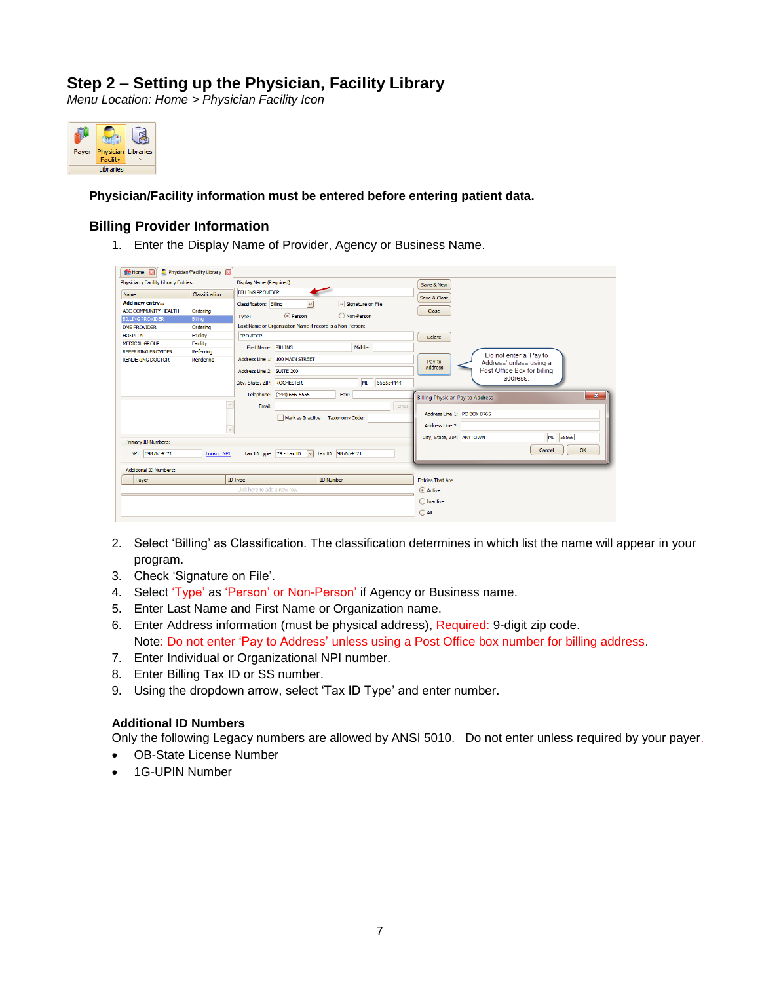### **Step 2 – Setting up the Physician, Facility Library**

*Menu Location: Home > Physician Facility Icon*



**Physician/Facility information must be entered before entering patient data.**

#### **Billing Provider Information**

1. Enter the Display Name of Provider, Agency or Business Name.

| Home <b>Ell</b>                       | Physician/Facility Library [2] |                             |                                                           |                                   |                              |            |                                               |              |
|---------------------------------------|--------------------------------|-----------------------------|-----------------------------------------------------------|-----------------------------------|------------------------------|------------|-----------------------------------------------|--------------|
| Physician / Facility Library Entries: |                                | Display Name (Required)     |                                                           |                                   |                              |            | Save & New                                    |              |
| Name                                  | Classification                 | <b>BILLING PROVIDER</b>     |                                                           |                                   |                              |            |                                               |              |
| Add new entry                         |                                | Classification: Billing     | $\overline{\vee}$                                         |                                   | $\sqrt{ }$ Signature on File |            | Save & Close                                  |              |
| ABC COMMUNITY HEALTH                  | Ordering                       |                             |                                                           |                                   |                              |            | Close                                         |              |
| <b>BILLING PROVIDER</b>               | Billing                        | Type:                       | ⊙ Person                                                  |                                   | O Non-Person                 |            |                                               |              |
| DME PROVIDER                          | Ordering                       |                             | Last Name or Organization Name if record is a Non-Person: |                                   |                              |            |                                               |              |
| <b>HOSPITAL</b>                       | Facility                       | <b>PROVIDER</b>             |                                                           |                                   |                              |            | <b>Delete</b>                                 |              |
| <b>MEDICAL GROUP</b>                  | Facility                       | First Name: BILLING         |                                                           |                                   | Middle:                      |            |                                               |              |
| REFERRING PROVIDER                    | Referring                      |                             |                                                           |                                   |                              |            | Do not enter a 'Pay to                        |              |
| <b>RENDERING DOCTOR</b>               | Rendering                      |                             | Address Line 1: 100 MAIN STREET                           |                                   |                              |            | Pay to<br>Address' unless using a             |              |
|                                       |                                | Address Line 2: SUITE 200   |                                                           |                                   |                              |            | <b>Address</b><br>Post Office Box for billing |              |
|                                       |                                | City, State, ZIP: ROCHESTER |                                                           |                                   | MI                           | 555554444  | address                                       |              |
|                                       |                                |                             |                                                           |                                   |                              |            |                                               |              |
|                                       |                                |                             | Telephone: (444) 666-5555                                 | Fax:                              |                              |            | <b>Billing Physician Pay to Address</b>       | $\mathbf{x}$ |
|                                       |                                | Email:                      |                                                           |                                   |                              | Email      |                                               |              |
|                                       |                                |                             | Mark as Inactive Taxonomy Code:                           |                                   |                              |            | Address Line 1: PO BOX 8765                   |              |
|                                       |                                |                             |                                                           |                                   |                              |            | Address Line 2:                               |              |
|                                       |                                |                             |                                                           |                                   |                              |            |                                               |              |
| Primary ID Numbers:                   |                                |                             |                                                           |                                   |                              |            | MI<br>55566<br>City, State, ZIP: ANYTOWN      |              |
| NPI: 0987654321                       | <b>Lookup NPI</b>              | Tax ID Type: 24 - Tax ID    |                                                           | $\triangledown$ Tax ID: 987654321 |                              |            | Cancel                                        | OK           |
|                                       |                                |                             |                                                           |                                   |                              |            |                                               |              |
| <b>Additional ID Numbers:</b>         |                                |                             |                                                           |                                   |                              |            |                                               |              |
| Payer                                 |                                | <b>ID Type</b>              |                                                           | <b>ID Number</b>                  |                              |            | <b>Entries That Are</b>                       |              |
|                                       | Click here to add a new row    |                             |                                                           |                                   |                              | (a) Active |                                               |              |
|                                       |                                |                             |                                                           |                                   |                              |            |                                               |              |
|                                       |                                |                             |                                                           |                                   |                              |            | $\bigcirc$ Inactive                           |              |
|                                       |                                |                             |                                                           |                                   |                              |            | $\bigcirc$ All                                |              |
|                                       |                                |                             |                                                           |                                   |                              |            |                                               |              |

- 2. Select 'Billing' as Classification. The classification determines in which list the name will appear in your program.
- 3. Check 'Signature on File'.
- 4. Select 'Type' as 'Person' or Non-Person' if Agency or Business name.
- 5. Enter Last Name and First Name or Organization name.
- 6. Enter Address information (must be physical address), Required: 9-digit zip code. Note: Do not enter 'Pay to Address' unless using a Post Office box number for billing address.
- 7. Enter Individual or Organizational NPI number.
- 8. Enter Billing Tax ID or SS number.
- 9. Using the dropdown arrow, select 'Tax ID Type' and enter number.

#### **Additional ID Numbers**

Only the following Legacy numbers are allowed by ANSI 5010. Do not enter unless required by your payer.

- OB-State License Number
- 1G-UPIN Number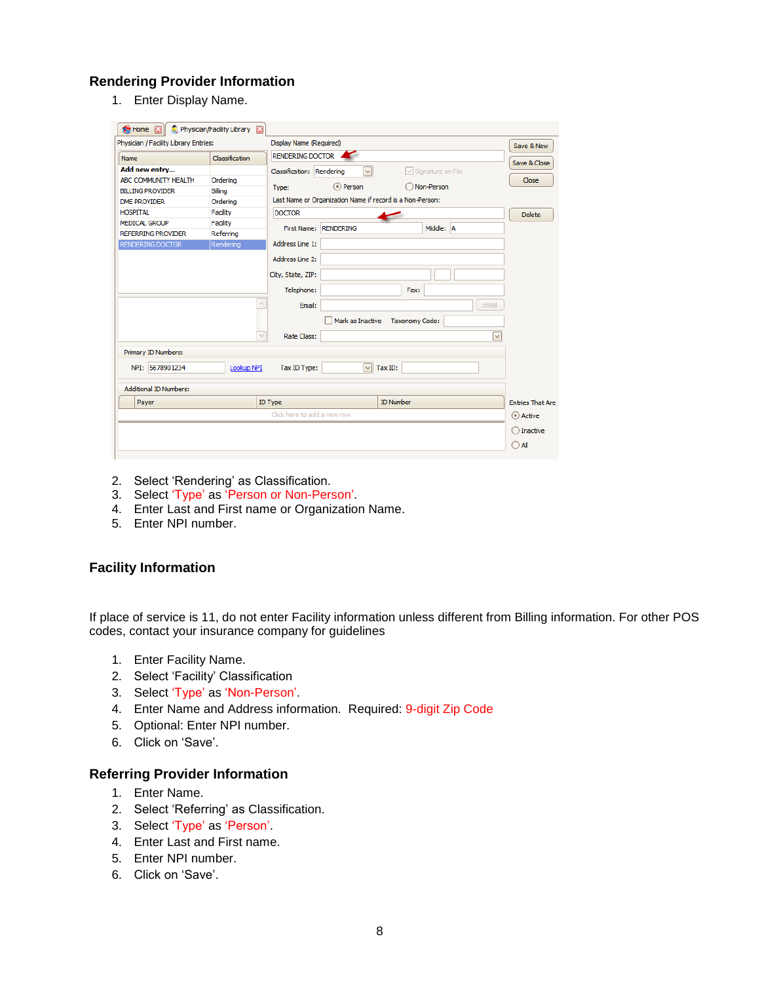#### **Rendering Provider Information**

1. Enter Display Name.

| Home <b>X</b>                         | Physician/Facility Library [23] |                             |                       |                                                           |       |                         |
|---------------------------------------|---------------------------------|-----------------------------|-----------------------|-----------------------------------------------------------|-------|-------------------------|
| Physician / Facility Library Entries: |                                 | Display Name (Required)     |                       |                                                           |       | Save & New              |
| Name                                  | Classification                  | RENDERING DOCTOR            |                       |                                                           |       |                         |
| Add new entry                         |                                 | Classification: Rendering   | ⊡                     | $\boxed{\smile}$ Signature on File                        |       | Save & Close            |
| ABC COMMUNITY HEALTH                  | Ordering                        |                             |                       |                                                           |       | Close                   |
| <b>BILLING PROVIDER</b>               | Billing                         | Type:                       | ⊙ Person              | Non-Person                                                |       |                         |
| <b>DME PROVIDER</b>                   | Ordering                        |                             |                       | Last Name or Organization Name if record is a Non-Person: |       |                         |
| <b>HOSPITAL</b>                       | Facility                        | <b>DOCTOR</b>               |                       |                                                           |       | <b>Delete</b>           |
| <b>MEDICAL GROUP</b>                  | Facility                        |                             | First Name: RENDERING | Middle: A                                                 |       |                         |
| <b>REFERRING PROVIDER</b>             | Referring                       |                             |                       |                                                           |       |                         |
| RENDERING DOCTOR                      | Rendering                       | Address Line 1:             |                       |                                                           |       |                         |
|                                       |                                 | Address Line 2:             |                       |                                                           |       |                         |
|                                       |                                 | City, State, ZIP:           |                       |                                                           |       |                         |
|                                       |                                 | Telephone:                  |                       | Fax:                                                      |       |                         |
|                                       | $\wedge$                        |                             |                       |                                                           |       |                         |
|                                       |                                 | Email:                      |                       |                                                           | Email |                         |
|                                       |                                 |                             | Mark as Inactive      | <b>Taxonomy Code:</b>                                     |       |                         |
|                                       | $\checkmark$                    | Rate Class:                 |                       |                                                           | ☞     |                         |
| Primary ID Numbers:                   |                                 |                             |                       |                                                           |       |                         |
| NPI: 5678901234                       | Lookup NPI                      | Tax ID Type:                | $\vee$                | Tax ID:                                                   |       |                         |
| <b>Additional ID Numbers:</b>         |                                 |                             |                       |                                                           |       |                         |
| Payer                                 |                                 | ID Type                     |                       | <b>ID Number</b>                                          |       | <b>Entries That Are</b> |
|                                       |                                 | Click here to add a new row |                       |                                                           |       | (a) Active              |
|                                       |                                 |                             |                       |                                                           |       |                         |
|                                       |                                 |                             |                       |                                                           |       | Inactive                |
|                                       |                                 |                             |                       |                                                           |       | All<br>г                |

- 2. Select 'Rendering' as Classification.
- 3. Select 'Type' as 'Person or Non-Person'.
- 4. Enter Last and First name or Organization Name.
- 5. Enter NPI number.

#### **Facility Information**

If place of service is 11, do not enter Facility information unless different from Billing information. For other POS codes, contact your insurance company for guidelines

- 1. Enter Facility Name.
- 2. Select 'Facility' Classification
- 3. Select 'Type' as 'Non-Person'.
- 4. Enter Name and Address information. Required: 9-digit Zip Code
- 5. Optional: Enter NPI number.
- 6. Click on 'Save'.

#### **Referring Provider Information**

- 1. Enter Name.
- 2. Select 'Referring' as Classification.
- 3. Select 'Type' as 'Person'.
- 4. Enter Last and First name.
- 5. Enter NPI number.
- 6. Click on 'Save'.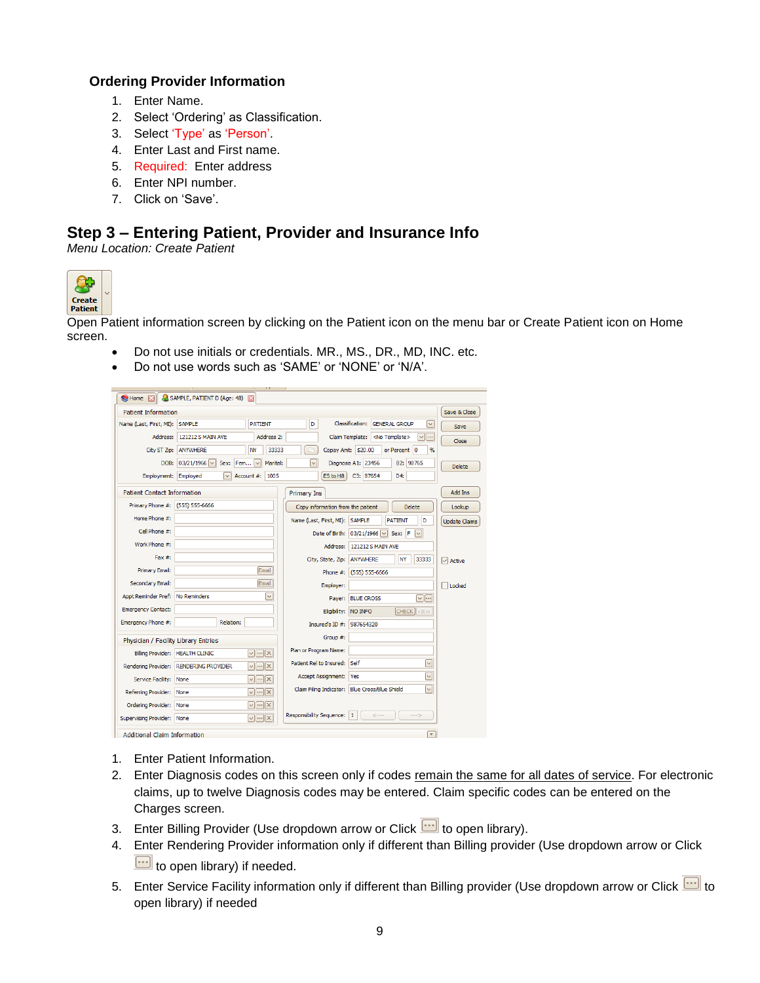#### **Ordering Provider Information**

- 1. Enter Name.
- 2. Select 'Ordering' as Classification.
- 3. Select 'Type' as 'Person'.
- 4. Enter Last and First name.
- 5. Required: Enter address
- 6. Enter NPI number.
- 7. Click on 'Save'.

### **Step 3 – Entering Patient, Provider and Insurance Info**

*Menu Location: Create Patient*



Open Patient information screen by clicking on the Patient icon on the menu bar or Create Patient icon on Home screen.

- Do not use initials or credentials. MR., MS., DR., MD, INC. etc.
- Do not use words such as 'SAME' or 'NONE' or 'N/A'.

| <b>Re</b> Home <b>XI</b>             | SAMPLE, PATIENT D (Age: 48)                                       |                                                                                 |                         |
|--------------------------------------|-------------------------------------------------------------------|---------------------------------------------------------------------------------|-------------------------|
| <b>Patient Information</b>           |                                                                   |                                                                                 | Save & Close            |
| Name (Last, First, MI):              | <b>PATIENT</b><br><b>SAMPLE</b>                                   | <b>Classification:</b><br>D<br><b>GENERAL GROUP</b><br>$\vert \vee \vert$       | Save                    |
| Address:                             | 121212 S MAIN AVE<br>Address 2:                                   | Claim Template: <no template=""><br/><math>\vee</math> <math>\cdots</math></no> | Close                   |
| City ST Zip:                         | ANYWHERE<br>NY<br>33333                                           | Copay Amt: \$20.00<br>or Percent 0<br>$\frac{d}{dx}$                            |                         |
| DOB:                                 | $03/21/1966$ $\vee$<br>Sex: Fem<br>Marital:<br>$\vee$             | $\checkmark$<br>Diagnosis A1: 23456<br>B2: 98765                                | <b>Delete</b>           |
| Employment:                          | 1005<br>Employed<br>$\vee$<br>Account #:                          | C3: 87654<br>E5 to H8<br>D4:                                                    |                         |
| <b>Patient Contact Information</b>   |                                                                   | Primary Ins                                                                     | Add Ins                 |
| Primary Phone #: (555) 555-6666      |                                                                   | Copy information from the patient<br><b>Delete</b>                              | Lookup                  |
| Home Phone #:                        |                                                                   | Name (Last, First, MI): SAMPLE<br><b>PATIENT</b><br>D                           | <b>Update Claims</b>    |
| Cell Phone #:                        |                                                                   | Date of Birth: 03/21/1966 v<br>Sex: F<br>$\vert \vee \vert$                     |                         |
| Work Phone #:                        |                                                                   | 121212 S MAIN AVE<br>Address:                                                   |                         |
| $Fax \#$ :                           |                                                                   | <b>NY</b><br>33333<br>City, State, Zip:<br><b>ANYWHERE</b>                      | $\boxed{\smile}$ Active |
| Primary Email:                       | Email                                                             | Phone #: (555) 555-6666                                                         |                         |
| Secondary Email:                     | Email                                                             | Employer:                                                                       | Locked                  |
| Appt Reminder Pref: No Reminders     | $\checkmark$                                                      | $\vee$ $\cdots$<br><b>BLUE CROSS</b><br>Payer:                                  |                         |
| <b>Emergency Contact:</b>            |                                                                   | NO INFO<br><b>CHECK</b> VIEW<br>Eligibility:                                    |                         |
| Emergency Phone #:                   | Relation:                                                         | Insured's ID #: 987654320                                                       |                         |
| Physician / Facility Library Entries |                                                                   | Group #:                                                                        |                         |
| Billing Provider: HEALTH CLINIC      | $\sqrt{ \cdots x }$                                               | Plan or Program Name:                                                           |                         |
|                                      | $\sqrt{ \cdots }\times$<br>Rendering Provider: RENDERING PROVIDER | Patient Rel to Insured:<br><b>Self</b><br>$\checkmark$                          |                         |
| Service Facility: None               | $\sqrt{ \cdots }\times$                                           | $\vee$<br><b>Yes</b><br>Accept Assignment:                                      |                         |
| Referring Provider: None             | $\sqrt{ \cdots }\times$                                           | Claim Filing Indicator: Blue Cross/Blue Shield<br>$\checkmark$                  |                         |
| Ordering Provider: None              | $\sqrt{    x  }$                                                  |                                                                                 |                         |
| Supervising Provider: None           | $\sqrt{ \cdots } \times$                                          | Responsibility Sequence: 1<br>$--5$<br>$\leftarrow$                             |                         |
| <b>Additional Claim Information</b>  |                                                                   | $\overline{\mathbf v}$                                                          |                         |

- 1. Enter Patient Information.
- 2. Enter Diagnosis codes on this screen only if codes remain the same for all dates of service. For electronic claims, up to twelve Diagnosis codes may be entered. Claim specific codes can be entered on the Charges screen.
- 3. Enter Billing Provider (Use dropdown arrow or Click  $\Box$  to open library).
- 4. Enter Rendering Provider information only if different than Billing provider (Use dropdown arrow or Click  $\boxed{...}$  to open library) if needed.
- 5. Enter Service Facility information only if different than Billing provider (Use dropdown arrow or Click **that** to open library) if needed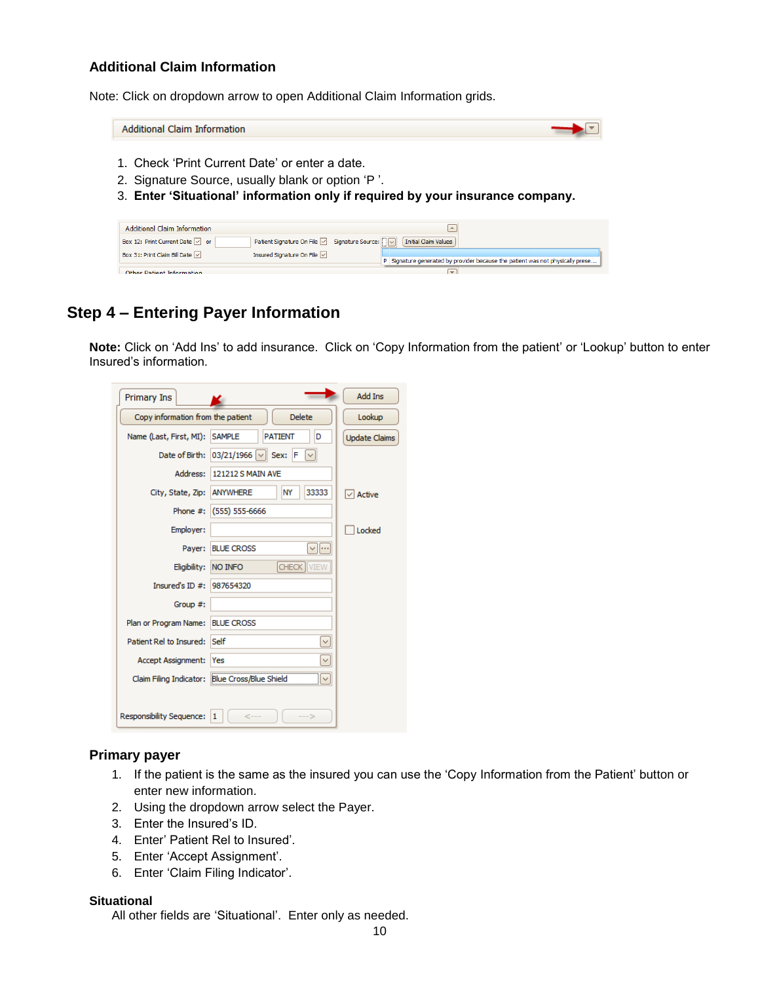#### **Additional Claim Information**

Note: Click on dropdown arrow to open Additional Claim Information grids.

Additional Claim Information  $\blacktriangleright$ 

- 1. Check 'Print Current Date' or enter a date.
- 2. Signature Source, usually blank or option 'P '.
- 3. **Enter 'Situational' information only if required by your insurance company.**

| Additional Claim Information                 |                                                   |                                                                                |
|----------------------------------------------|---------------------------------------------------|--------------------------------------------------------------------------------|
| Box 12: Print Current Date   or              | Patient Signature On File   Signature Source:   V | Initial Claim Values                                                           |
| Box 31: Print Claim Bill Date $\boxed{\vee}$ | Insured Signature On File                         | P Signature generated by provider because the patient was not physically prese |
| Other Patient Information                    |                                                   |                                                                                |

### **Step 4 – Entering Payer Information**

**Note:** Click on 'Add Ins' to add insurance. Click on 'Copy Information from the patient' or 'Lookup' button to enter Insured's information.

| Primary Ins                       |                                               | <b>Add Ins</b>       |
|-----------------------------------|-----------------------------------------------|----------------------|
| Copy information from the patient | <b>Delete</b>                                 | Lookup               |
| Name (Last, First, MI):           | <b>SAMPLE</b><br><b>PATIENT</b><br>D          | <b>Update Claims</b> |
| Date of Birth:                    | $03/21/1966$ $\vee$<br>Sex:<br>IF             |                      |
| Address:                          | <b>121212 S MAIN AVE</b>                      |                      |
| City, State, Zip:                 | <b>ANYWHERE</b><br>NY<br>33333                | $\sqrt{}$ Active     |
| Phone #:                          | $(555) 555 - 6666$                            |                      |
| Employer:                         |                                               | Locked               |
| Payer:                            | <b>BLUE CROSS</b><br>$\vee$ $\cdots$          |                      |
| Eligibility:                      | <b>CHECK</b><br><b>NO INFO</b><br><b>VIEW</b> |                      |
| Insured's ID $#$ :                | 987654320                                     |                      |
| Group #:                          |                                               |                      |
| Plan or Program Name:             | <b>BLUE CROSS</b>                             |                      |
| Patient Rel to Insured:           | Self<br>$\checkmark$                          |                      |
| Accept Assignment:                | Yes<br>$\checkmark$                           |                      |
| Claim Filing Indicator:           | <b>Blue Cross/Blue Shield</b>                 |                      |
|                                   |                                               |                      |
| <b>Responsibility Sequence:</b>   | ←−−<br>1                                      |                      |

#### **Primary payer**

- 1. If the patient is the same as the insured you can use the 'Copy Information from the Patient' button or enter new information.
- 2. Using the dropdown arrow select the Payer.
- 3. Enter the Insured's ID.
- 4. Enter' Patient Rel to Insured'.
- 5. Enter 'Accept Assignment'.
- 6. Enter 'Claim Filing Indicator'.

#### **Situational**

All other fields are 'Situational'. Enter only as needed.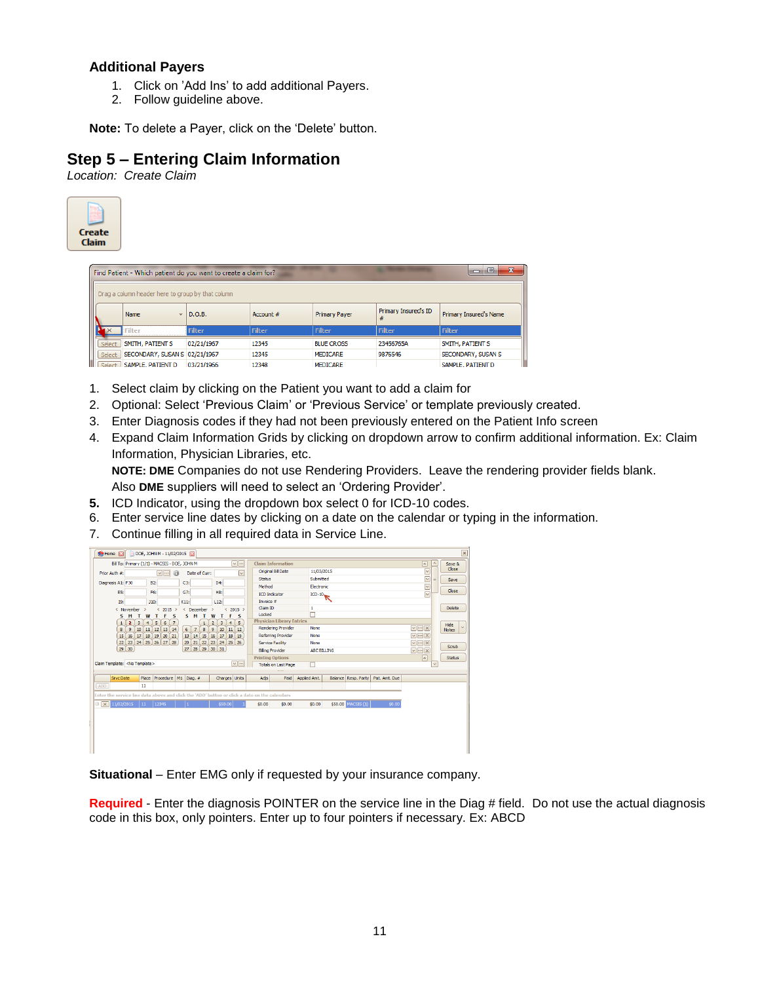#### **Additional Payers**

- 1. Click on 'Add Ins' to add additional Payers.
- 2. Follow guideline above.

**Note:** To delete a Payer, click on the 'Delete' button.

### **Step 5 – Entering Claim Information**

*Location: Create Claim*

| Create<br><b>Claim</b> |                                                                 |               |               |                      |                           |                                  |
|------------------------|-----------------------------------------------------------------|---------------|---------------|----------------------|---------------------------|----------------------------------|
|                        | Find Patient - Which patient do you want to create a claim for? |               |               |                      |                           | $\mathbf{x}$<br>$\Box$<br>$\Box$ |
|                        | Drag a column header here to group by that column               |               |               |                      |                           |                                  |
|                        | Name<br>$\overline{\phantom{a}}$                                | D.O.B.        | Account #     | <b>Primary Payer</b> | Primary Insured's ID<br># | Primary Insured's Name           |
|                        | <b>Filter</b>                                                   | <b>Filter</b> | <b>Filter</b> | <b>Filter</b>        | <b>Filter</b>             | <b>Filter</b>                    |
| Select                 | SMITH, PATIENT S                                                | 02/21/1967    | 12345         | <b>BLUE CROSS</b>    | 23456765A                 | SMITH, PATIENT S                 |
| Select                 | SECONDARY, SUSAN S 02/21/1967                                   |               | 12345         | <b>MEDICARE</b>      | 9876546                   | SECONDARY, SUSAN S               |
| Select                 | SAMPLE, PATIENT D                                               | 03/21/1966    | 12348         | <b>MEDICARE</b>      |                           | SAMPLE, PATIENT D                |

- 1. Select claim by clicking on the Patient you want to add a claim for
- 2. Optional: Select 'Previous Claim' or 'Previous Service' or template previously created.
- 3. Enter Diagnosis codes if they had not been previously entered on the Patient Info screen
- 4. Expand Claim Information Grids by clicking on dropdown arrow to confirm additional information. Ex: Claim Information, Physician Libraries, etc.

**NOTE: DME** Companies do not use Rendering Providers. Leave the rendering provider fields blank.

Also **DME** suppliers will need to select an 'Ordering Provider'.

- **5.** ICD Indicator, using the dropdown box select 0 for ICD-10 codes.
- 6. Enter service line dates by clicking on a date on the calendar or typing in the information.
- 7. Continue filling in all required data in Service Line.

| Home<br>DOE, JOHN M - 11/02/2015<br>ES                                                                                                                                                       |                              | $\mathbf{\times}$ |
|----------------------------------------------------------------------------------------------------------------------------------------------------------------------------------------------|------------------------------|-------------------|
| $\sim$ $\sim$<br><b>Claim Information</b><br>Bill To: Primary (1/1) - MACSIS - DOE, JOHN M<br>$\overline{\phantom{a}}$                                                                       | $\mathcal{L}$                | Save &            |
| Original Bill Date<br>11/03/2015<br>⊡<br>Date of Curr:<br>$\sim$ $\sim$<br>Prior Auth #:<br>0                                                                                                | $\overline{\vee}$            | Close             |
| Submitted<br><b>Status</b>                                                                                                                                                                   | $\overline{\mathsf{v}}$<br>Ξ | <b>Save</b>       |
| D4:<br><b>B2:</b><br>Diagnosis A1: F30<br>C3:<br>Method<br>Electronic                                                                                                                        | $\overline{\mathsf{v}}$      |                   |
| G7:<br>H8:<br>ES:<br>F6:<br><b>ICD Indicator</b><br>$ICD-10$                                                                                                                                 | $\overline{\vee}$            | Close             |
| Invoice $#$<br>J10:<br>K11:<br>L12:<br><b>I9:</b>                                                                                                                                            |                              |                   |
| Claim ID<br>$\mathbf{1}$<br>$2015$ ><br>$& 2015$ ><br>< December<br>< November<br>$\overline{\phantom{a}}$<br>$\rightarrow$                                                                  |                              | Delete            |
| П<br>Locked<br>F<br>$\mathsf{s}$<br>S M<br>s<br>s<br>M<br>W<br>т<br>W<br>т<br>F<br>т<br>т                                                                                                    |                              |                   |
| <b>Physician Library Entries</b><br>$\overline{7}$<br>$\overline{5}$<br>$\overline{3}$<br>3<br>5<br>6<br>$\overline{2}$<br>$\ddot{+}$<br>$\mathbf{1}$<br>$\mathbf{1}$<br>$\overline{2}$<br>4 |                              | Hide              |
| $\sqrt{ \cdot }$<br><b>Rendering Provider</b><br>None<br>$\ddot{\mathbf{8}}$<br>9<br>12<br>9<br>10<br>11<br>13 14<br>6<br>$\overline{7}$<br>8<br>10<br>$11$ 12                               |                              | <b>Notes</b>      |
| 15<br>$\sqrt{ \cdot }$ $\times$<br>$18$   $19$  <br>20 21<br>13<br><b>15</b><br>16<br>Referring Provider<br>16<br>14<br>17<br>None<br>17<br>18<br>19                                         |                              |                   |
| 22)<br>23 24 25 26<br>22<br>23 24 25 26 27 28<br>20<br>21)<br>$\sqrt{ \cdot }$<br>Service Facility<br>None                                                                                   |                              | Scrub             |
| $29$ 30<br>28 29 30 31<br>27<br><b>Biling Provider</b><br>$\triangledown$ $\cdots$ $\times$<br><b>ABC BILLING</b>                                                                            |                              |                   |
| <b>Printing Options</b><br>$\sqrt{2}$                                                                                                                                                        |                              | <b>Status</b>     |
| $\sim$ $\sim$<br>Claim Template: <no template=""><br/><b>Totals on Last Page</b><br/>г</no>                                                                                                  | $\checkmark$                 |                   |
|                                                                                                                                                                                              |                              |                   |
| Place Procedure M1 Diag. #<br><b>Srvc</b> Date<br>Charges Units<br>Adis<br>Paid<br>Applied Amt.<br>Balance Resp. Party<br>Pat. Amt. Due                                                      |                              |                   |
| 11<br>ADD                                                                                                                                                                                    |                              |                   |
| Enter the service line data above and click the 'ADD' button or click a date on the calendars                                                                                                |                              |                   |
| \$50.00 MACSIS (1)<br><b>EX 11/02/2015</b><br>\$0.00<br>12345<br>\$50.00<br>\$0.00<br>\$0.00<br>\$0.00<br>$\vert$ 11                                                                         |                              |                   |
|                                                                                                                                                                                              |                              |                   |
|                                                                                                                                                                                              |                              |                   |
|                                                                                                                                                                                              |                              |                   |
|                                                                                                                                                                                              |                              |                   |
|                                                                                                                                                                                              |                              |                   |
|                                                                                                                                                                                              |                              |                   |

**Situational** – Enter EMG only if requested by your insurance company.

**Required** - Enter the diagnosis POINTER on the service line in the Diag # field. Do not use the actual diagnosis code in this box, only pointers. Enter up to four pointers if necessary. Ex: ABCD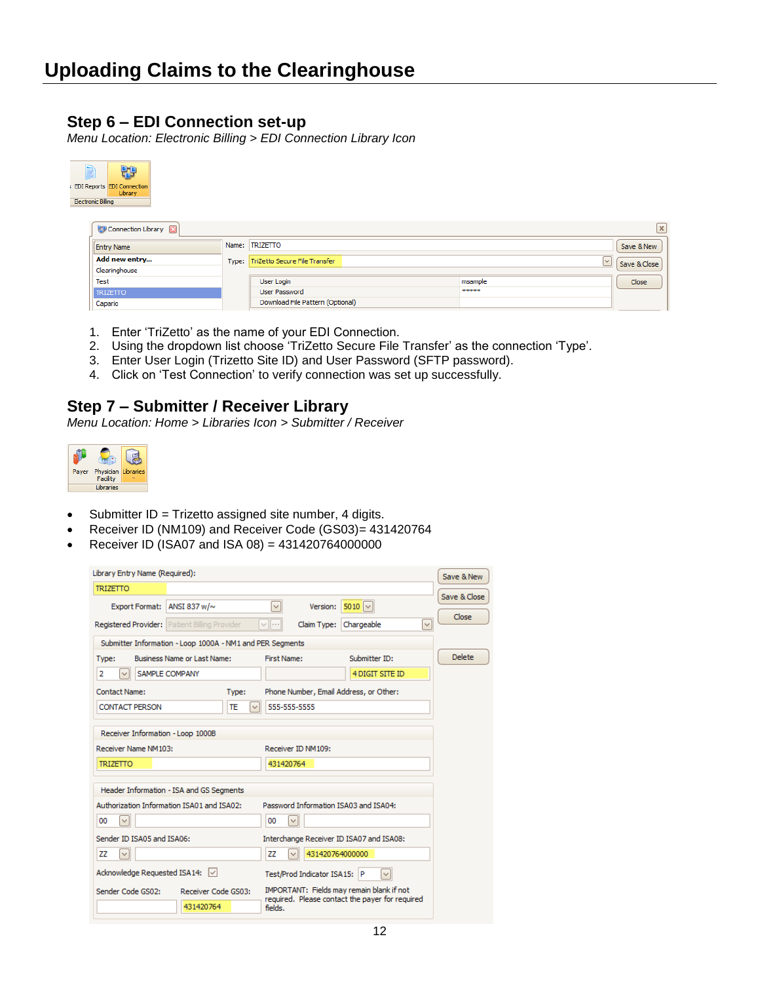### **Step 6 – EDI Connection set-up**

*Menu Location: Electronic Billing > EDI Connection Library Icon*

| 49<br>B<br>EDI Reports EDI Connection<br>Library<br><b>Electronic Billing</b> |       |                                  |                         |                 |
|-------------------------------------------------------------------------------|-------|----------------------------------|-------------------------|-----------------|
| ₩ Connection Library <b>⊠</b>                                                 |       |                                  |                         | $\vert x \vert$ |
| <b>Entry Name</b>                                                             | Name: | <b>TRIZETTO</b>                  |                         | Save & New      |
| Add new entry                                                                 | Type: | TriZetto Secure File Transfer    | $\overline{\mathsf{v}}$ | Save & Close    |
| Clearinghouse                                                                 |       |                                  |                         |                 |
| Test                                                                          |       | User Login                       | msample                 | Close           |
| <b>TRIZETTO</b>                                                               |       | User Password                    | *****                   |                 |
| Capario                                                                       |       | Download File Pattern (Optional) |                         |                 |

- 1. Enter 'TriZetto' as the name of your EDI Connection.
- 2. Using the dropdown list choose 'TriZetto Secure File Transfer' as the connection 'Type'.
- 3. Enter User Login (Trizetto Site ID) and User Password (SFTP password).
- 4. Click on 'Test Connection' to verify connection was set up successfully.

#### **Step 7 – Submitter / Receiver Library**

*Menu Location: Home > Libraries Icon > Submitter / Receiver*



- Submitter ID = Trizetto assigned site number, 4 digits.
- Receiver ID (NM109) and Receiver Code (GS03)= 431420764
- Receiver ID (ISA07 and ISA 08) = 431420764000000

| Library Entry Name (Required):                            |                                                                   | Save & New    |
|-----------------------------------------------------------|-------------------------------------------------------------------|---------------|
| <b>TRIZETTO</b>                                           |                                                                   | Save & Close  |
| <b>Export Format:</b><br>ANSI 837 w/~                     | V<br>$5010$ $\sim$<br>Version:                                    |               |
| <b>Registered Provider:</b> Patient Billing Provider      | Claim Type:<br>Chargeable<br>$\checkmark$<br>$\sim$ $\sim$ $\sim$ | Close         |
| Submitter Information - Loop 1000A - NM1 and PER Segments |                                                                   |               |
| <b>Business Name or Last Name:</b>                        | Submitter ID:<br>First Name:                                      | <b>Delete</b> |
| Type:                                                     |                                                                   |               |
| SAMPLE COMPANY<br>2<br>$\checkmark$                       | 4 DIGIT SITE ID                                                   |               |
| Contact Name:<br>Type:                                    | Phone Number, Email Address, or Other:                            |               |
| <b>CONTACT PERSON</b><br>TE<br>$\checkmark$               | 555-555-5555                                                      |               |
|                                                           |                                                                   |               |
| Receiver Information - Loop 1000B                         |                                                                   |               |
| Receiver Name NM103:                                      | Receiver ID NM109:                                                |               |
| <b>TRIZETTO</b>                                           | 431420764                                                         |               |
|                                                           |                                                                   |               |
| Header Information - ISA and GS Segments                  |                                                                   |               |
| Authorization Information ISA01 and ISA02:                | Password Information ISA03 and ISA04:                             |               |
| 00<br>$\checkmark$                                        | $\checkmark$<br>00                                                |               |
| Sender ID ISA05 and ISA06:                                | Interchange Receiver ID ISA07 and ISA08:                          |               |
| zz<br>$\checkmark$                                        | 431420764000000<br>ΖZ<br>$\checkmark$                             |               |
| Acknowledge Requested ISA14: \/                           | Test/Prod Indicator ISA15: P<br>$\checkmark$                      |               |
| Sender Code GS02:<br>Receiver Code GS03:                  | IMPORTANT: Fields may remain blank if not                         |               |
| 431420764                                                 | required. Please contact the payer for required<br>fields.        |               |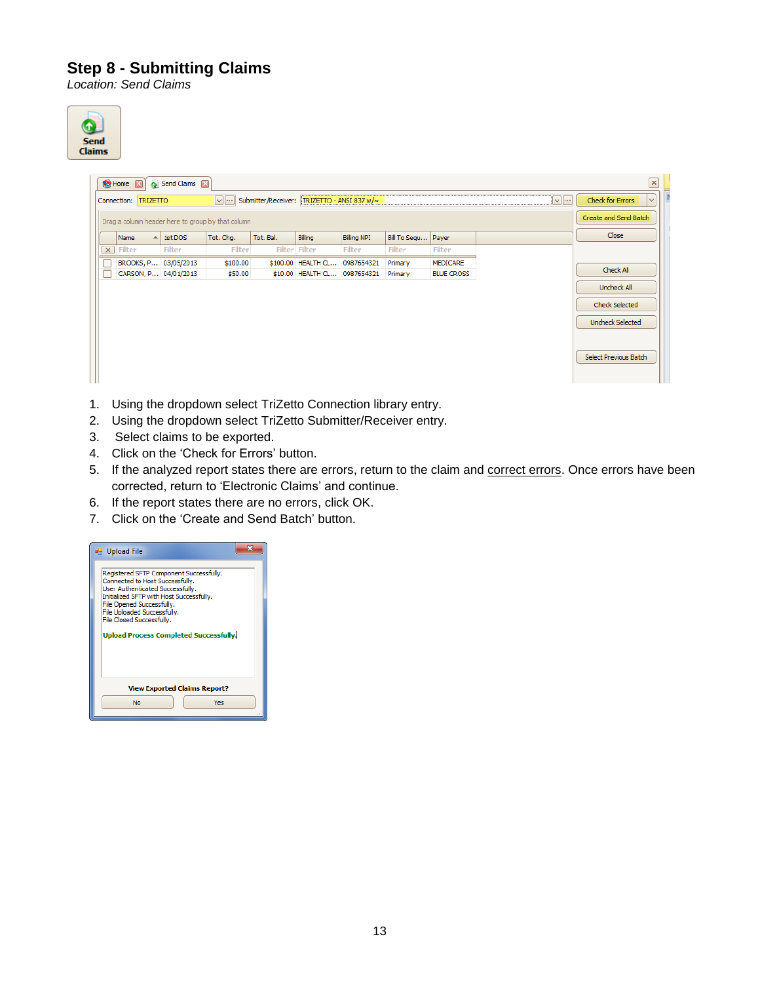### **Step 8 - Submitting Claims**

*Location: Send Claims*



|                         | <b>S</b> Home <b>M</b> |                 | Send Claims 2        |                                                   |                                                   |                               |                    |                      |                   |                   |                         | $\pmb{\times}$ |
|-------------------------|------------------------|-----------------|----------------------|---------------------------------------------------|---------------------------------------------------|-------------------------------|--------------------|----------------------|-------------------|-------------------|-------------------------|----------------|
|                         | Connection:            | <b>TRIZETTO</b> |                      |                                                   | √ ··· Submitter/Receiver: TRIZETTO - ANSI 837 w/~ |                               |                    |                      |                   | $\sqrt{ \cdots }$ | <b>Check for Errors</b> | $\vee$         |
|                         |                        |                 |                      | Drag a column header here to group by that column |                                                   |                               |                    |                      |                   |                   | Create and Send Batch   |                |
|                         | Name                   |                 | $-$ 1st DOS          | Tot. Chq.                                         | Tot. Bal.                                         | Billing                       | <b>Billing NPI</b> | Bill To Segu   Payer |                   |                   | <b>Close</b>            |                |
| $\overline{\mathsf{x}}$ | <b>Filter</b>          |                 | <b>Filter</b>        | <b>Filter</b>                                     |                                                   | <b>Filter Filter</b>          | <b>Filter</b>      | <b>Filter</b>        | <b>Filter</b>     |                   |                         |                |
| г                       |                        |                 | BROOKS, P 03/05/2013 | \$100.00                                          |                                                   | \$100.00 HEALTH CL 0987654321 |                    | Primary              | MEDICARE          |                   | Check All               |                |
| Г                       |                        |                 | CARSON, P 04/01/2013 | \$50.00                                           |                                                   | \$10.00 HEALTH CL 0987654321  |                    | Primary              | <b>BLUE CROSS</b> |                   |                         |                |
|                         |                        |                 |                      |                                                   |                                                   |                               |                    |                      |                   |                   | Uncheck All             |                |
|                         |                        |                 |                      |                                                   |                                                   |                               |                    |                      |                   |                   | <b>Check Selected</b>   |                |
|                         |                        |                 |                      |                                                   |                                                   |                               |                    |                      |                   |                   | <b>Uncheck Selected</b> |                |
|                         |                        |                 |                      |                                                   |                                                   |                               |                    |                      |                   |                   | Select Previous Batch   |                |

- 1. Using the dropdown select TriZetto Connection library entry.
- 2. Using the dropdown select TriZetto Submitter/Receiver entry.
- 3. Select claims to be exported.
- 4. Click on the 'Check for Errors' button.
- 5. If the analyzed report states there are errors, return to the claim and correct errors. Once errors have been corrected, return to 'Electronic Claims' and continue.
- 6. If the report states there are no errors, click OK.
- 7. Click on the 'Create and Send Batch' button.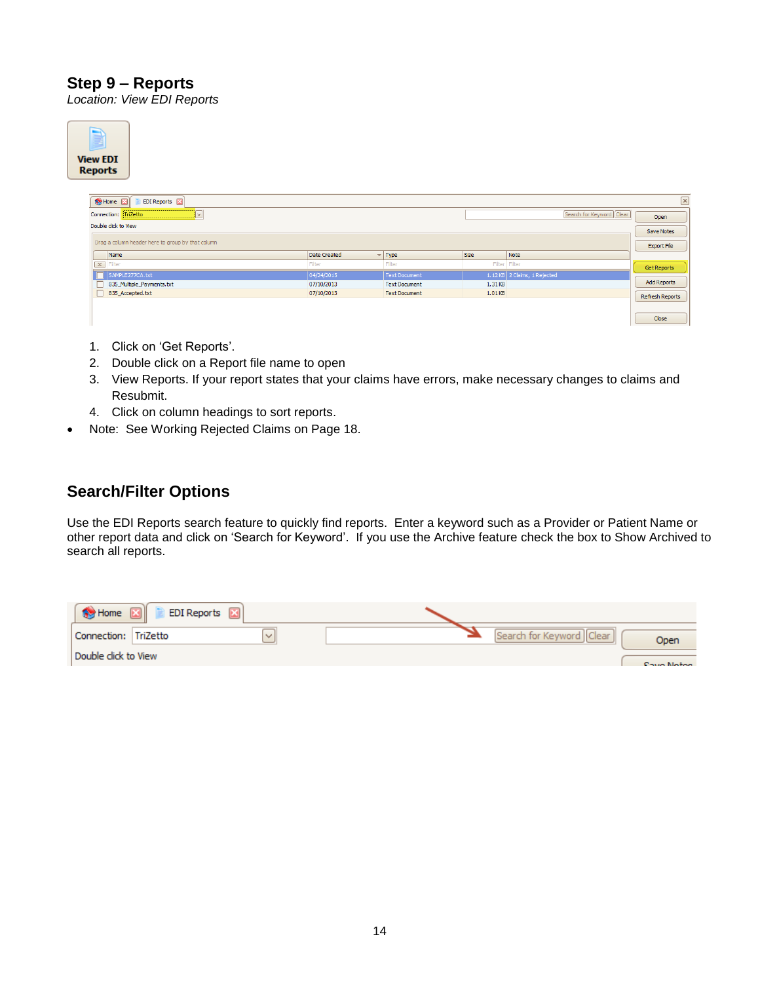### **Step 9 – Reports**

*Location: View EDI Reports*

| <b>View EDI</b><br><b>Reports</b> |                                                   |                     |                      |                    |                              |                          |                    |
|-----------------------------------|---------------------------------------------------|---------------------|----------------------|--------------------|------------------------------|--------------------------|--------------------|
|                                   | <b>Se Home</b><br>EDI Reports <b>[23]</b>         |                     |                      |                    |                              |                          | $\pmb{\times}$     |
|                                   | Connection: TriZetto<br>‼∨I                       |                     |                      |                    |                              | Search for Keyword Clear | Open               |
|                                   | Double click to View                              |                     |                      |                    |                              |                          | <b>Save Notes</b>  |
|                                   | Drag a column header here to group by that column |                     |                      |                    |                              |                          | <b>Export File</b> |
|                                   | Name                                              | <b>Date Created</b> | $-$ Type             | <b>Size</b>        | Note                         |                          |                    |
|                                   | $\boxed{\times}$ Filter                           | Filter              | Filter               | Filter Filter      |                              |                          | Get Reports        |
|                                   | SAMPLE277CA.txt                                   | 04/24/2015          | <b>Text Document</b> |                    | 1.12 KB 2 Claims, 1 Rejected |                          |                    |
| □                                 | 835_Multiple_Payments.txt                         | 07/10/2013          | <b>Text Document</b> | 1.31 <sub>KB</sub> |                              |                          | Add Reports        |
| $\Box$                            | 835_Accepted.txt                                  | 07/10/2013          | <b>Text Document</b> | 1.01KB             |                              |                          | Refresh Reports    |
|                                   |                                                   |                     |                      |                    |                              |                          |                    |
|                                   |                                                   |                     |                      |                    |                              |                          |                    |
|                                   |                                                   |                     |                      |                    |                              |                          | Close              |
|                                   |                                                   |                     |                      |                    |                              |                          |                    |

- 1. Click on 'Get Reports'.
- 2. Double click on a Report file name to open
- 3. View Reports. If your report states that your claims have errors, make necessary changes to claims and Resubmit.
- 4. Click on column headings to sort reports.
- Note: See Working Rejected Claims on Page 18.

### **Search/Filter Options**

Use the EDI Reports search feature to quickly find reports. Enter a keyword such as a Provider or Patient Name or other report data and click on 'Search for Keyword'. If you use the Archive feature check the box to Show Archived to search all reports.

| Home                 | <b>EDI Reports</b> |  |                    |
|----------------------|--------------------|--|--------------------|
| Connection: TriZetto |                    |  | <b>Open</b>        |
| Double click to View |                    |  | <b>Cours Matos</b> |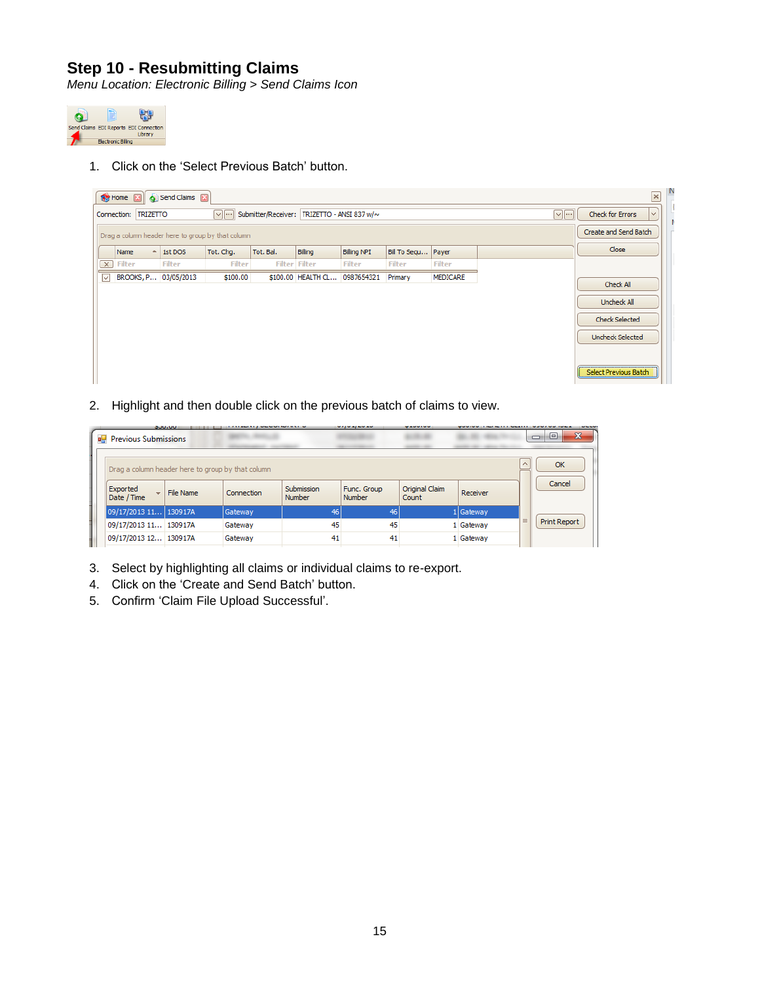### **Step 10 - Resubmitting Claims**

*Menu Location: Electronic Billing > Send Claims Icon*



1. Click on the 'Select Previous Batch' button.

|                                                                                                    | <b>Sa Home XI</b> |          | Send Claims 2        |                                                   |           |                               |                    |                      |                 |                                        |                         | N<br>$\mathbf{x}$ |
|----------------------------------------------------------------------------------------------------|-------------------|----------|----------------------|---------------------------------------------------|-----------|-------------------------------|--------------------|----------------------|-----------------|----------------------------------------|-------------------------|-------------------|
| $\sqrt{2}$<br>Submitter/Receiver: TRIZETTO - ANSI 837 w/~<br>$\sim$ $\sim$<br>Connection: TRIZETTO |                   |          |                      |                                                   |           |                               |                    |                      |                 | $\vert \vee \vert$<br>Check for Errors |                         |                   |
|                                                                                                    |                   |          |                      | Drag a column header here to group by that column |           |                               |                    |                      |                 |                                        | Create and Send Batch   |                   |
|                                                                                                    | Name              | $\sim$ 1 | 1st DOS              | Tot. Chg.                                         | Tot. Bal. | Billing                       | <b>Billing NPI</b> | Bill To Sequ   Payer |                 |                                        | Close                   |                   |
| $\sqrt{1}$                                                                                         | <b>Filter</b>     |          | <b>Filter</b>        | <b>Filter</b>                                     |           | <b>Filter Filter</b>          | <b>Filter</b>      | <b>Filter</b>        | <b>Filter</b>   |                                        |                         |                   |
| ⊡                                                                                                  |                   |          | BROOKS, P 03/05/2013 | \$100.00                                          |           | \$100.00 HEALTH CL 0987654321 |                    | Primary              | <b>MEDICARE</b> |                                        | Check All               |                   |
|                                                                                                    |                   |          |                      |                                                   |           |                               |                    |                      |                 |                                        |                         |                   |
|                                                                                                    |                   |          |                      |                                                   |           |                               |                    |                      |                 |                                        | Uncheck All             |                   |
|                                                                                                    |                   |          |                      |                                                   |           |                               |                    |                      |                 |                                        | Check Selected          |                   |
|                                                                                                    |                   |          |                      |                                                   |           |                               |                    |                      |                 |                                        | <b>Uncheck Selected</b> |                   |
|                                                                                                    |                   |          |                      |                                                   |           |                               |                    |                      |                 |                                        |                         |                   |
|                                                                                                    |                   |          |                      |                                                   |           |                               |                    |                      |                 |                                        | Select Previous Batch   |                   |

2. Highlight and then double click on the previous batch of claims to view.

|  |                             | <b>SUULUU</b>                                     | .          |                      | <b>MAJNAJEMEN</b>     | <b>MANUFACTURE</b>      |           |          |                               |  |
|--|-----------------------------|---------------------------------------------------|------------|----------------------|-----------------------|-------------------------|-----------|----------|-------------------------------|--|
|  | <b>Previous Submissions</b> |                                                   |            |                      |                       |                         |           |          | $\mathbf{x}$<br>▣<br>$\equiv$ |  |
|  |                             | Drag a column header here to group by that column |            |                      |                       |                         |           | $\wedge$ | OK                            |  |
|  | Exported<br>Date / Time     | $\overline{\phantom{a}}$   File Name              | Connection | Submission<br>Number | Func. Group<br>Number | Original Claim<br>Count | Receiver  |          | Cancel                        |  |
|  | 09/17/2013 11 130917A       |                                                   | Gateway    | 46                   | 46                    |                         | 1 Gateway |          |                               |  |
|  | 09/17/2013 11 130917A       |                                                   | Gateway    | 45                   | 45                    |                         | 1 Gateway | $\equiv$ | Print Report                  |  |
|  | 09/17/2013 12 130917A       |                                                   | Gateway    | 41                   | 41                    |                         | 1 Gateway |          |                               |  |

- 3. Select by highlighting all claims or individual claims to re-export.
- 4. Click on the 'Create and Send Batch' button.
- 5. Confirm 'Claim File Upload Successful'.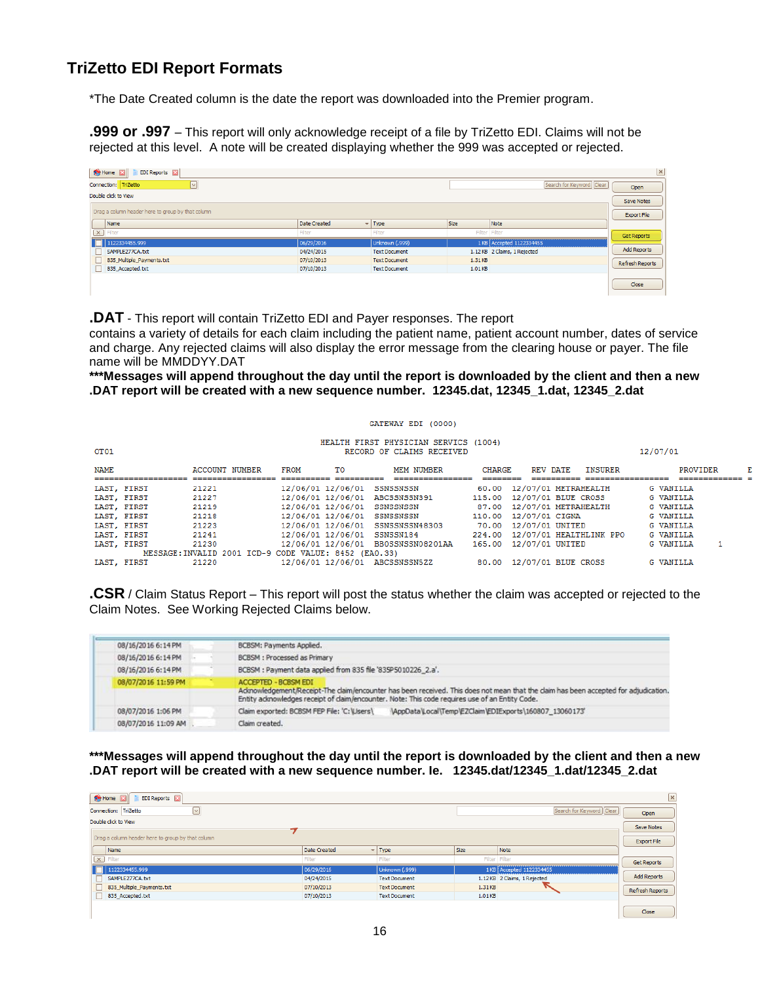### **TriZetto EDI Report Formats**

\*The Date Created column is the date the report was downloaded into the Premier program.

**.999 or .997** – This report will only acknowledge receipt of a file by TriZetto EDI. Claims will not be rejected at this level. A note will be created displaying whether the 999 was accepted or rejected.

| Home <b>EX</b><br>EDI Reports [X]                 |              |                           |               |                              | $\mathbf{x}$       |
|---------------------------------------------------|--------------|---------------------------|---------------|------------------------------|--------------------|
| $\triangleright$<br>Connection: TriZetto          |              |                           |               | Search for Keyword   Clear   | Open               |
| Double click to View                              |              |                           |               |                              | Save Notes         |
| Drag a column header here to group by that column |              |                           |               |                              | Export File        |
| Name                                              | Date Created | $\blacktriangledown$ Type | <b>Size</b>   | Note                         |                    |
| $\boxed{\times}$ Filter                           | Filter       | Filter                    | Filter Filter |                              | Get Reports        |
| 1122334455.999                                    | 06/29/2016   | Unknown (.999)            |               | 1 KB Accepted 1122334455     |                    |
| SAMPLE277CA.txt                                   | 04/24/2015   | <b>Text Document</b>      |               | 1.12 KB 2 Claims, 1 Rejected | <b>Add Reports</b> |
| 835_Multiple_Payments.txt                         | 07/10/2013   | <b>Text Document</b>      | 1.31KB        |                              | Refresh Reports    |
| 835 Accepted.txt                                  | 07/10/2013   | <b>Text Document</b>      | 1.01KB        |                              |                    |
|                                                   |              |                           |               |                              | Close              |

**.DAT** - This report will contain TriZetto EDI and Payer responses. The report

contains a variety of details for each claim including the patient name, patient account number, dates of service and charge. Any rejected claims will also display the error message from the clearing house or payer. The file name will be MMDDYY.DAT

**\*\*\*Messages will append throughout the day until the report is downloaded by the client and then a new .DAT report will be created with a new sequence number. 12345.dat, 12345\_1.dat, 12345\_2.dat**

|      |             |                                                       |                   |    | GATEWAY EDI (0000)                                                 |               |                                |                |                  |   |
|------|-------------|-------------------------------------------------------|-------------------|----|--------------------------------------------------------------------|---------------|--------------------------------|----------------|------------------|---|
| OT01 |             |                                                       |                   |    | HEALTH FIRST PHYSICIAN SERVICS (1004)<br>RECORD OF CLAIMS RECEIVED |               |                                |                | 12/07/01         |   |
| NAME |             | <b>ACCOUNT NUMBER</b>                                 | <b>FROM</b>       | тo | <b>MEM NUMBER</b>                                                  | <b>CHARGE</b> | REV DATE                       | <b>INSURER</b> | PROVIDER         | E |
|      |             |                                                       |                   |    |                                                                    |               |                                |                |                  |   |
|      | LAST, FIRST | 21221                                                 | 12/06/01 12/06/01 |    | SSNSSNSSN                                                          |               | 60.00 12/07/01 METRAHEALTH     |                | <b>G VANILLA</b> |   |
|      | LAST, FIRST | 21227                                                 | 12/06/01 12/06/01 |    | ABCSSNSSN391                                                       |               | 115.00 12/07/01 BLUE CROSS     |                | <b>G VANILLA</b> |   |
|      | LAST, FIRST | 21219                                                 | 12/06/01 12/06/01 |    | SSNSSNSSN                                                          |               | 87.00 12/07/01 METRAHEALTH     |                | <b>G VANILLA</b> |   |
|      | LAST, FIRST | 21218                                                 | 12/06/01 12/06/01 |    | SSNSSNSSN                                                          |               | 110.00 12/07/01 CIGNA          |                | <b>G VANILLA</b> |   |
|      | LAST, FIRST | 21223                                                 |                   |    | 12/06/01 12/06/01 SSNSSNSSN48303                                   |               | 70.00 12/07/01 UNITED          |                | <b>G VANILLA</b> |   |
|      | LAST, FIRST | 21241                                                 | 12/06/01 12/06/01 |    | SSNSSN184                                                          |               | 224.00 12/07/01 HEALTHLINK PPO |                | <b>G VANILLA</b> |   |
|      | LAST, FIRST | 21230                                                 |                   |    | 12/06/01 12/06/01 BB0SSNSSN08201AA                                 |               | 165.00 12/07/01 UNITED         |                | <b>G VANILLA</b> |   |
|      |             | MESSAGE: INVALID 2001 ICD-9 CODE VALUE: 8452 (EA0.33) |                   |    |                                                                    |               |                                |                |                  |   |
|      | LAST, FIRST | 21220                                                 |                   |    | 12/06/01 12/06/01 ABCSSNSSN5ZZ                                     |               | 80.00 12/07/01 BLUE CROSS      |                | <b>G VANILLA</b> |   |

**.CSR** / Claim Status Report – This report will post the status whether the claim was accepted or rejected to the Claim Notes. See Working Rejected Claims below.

| 08/16/2016 6:14 PM  | BCBSM: Payments Applied.                                                                                                                                                                                                                                             |  |  |  |  |  |  |
|---------------------|----------------------------------------------------------------------------------------------------------------------------------------------------------------------------------------------------------------------------------------------------------------------|--|--|--|--|--|--|
| 08/16/2016 6:14 PM  | <b>BCBSM</b> : Processed as Primary                                                                                                                                                                                                                                  |  |  |  |  |  |  |
| 08/16/2016 6:14 PM  | BCBSM : Payment data applied from 835 file '835P5010226_2.a'.                                                                                                                                                                                                        |  |  |  |  |  |  |
| 08/07/2016 11:59 PM | <b>ACCEPTED - BCBSM EDI</b><br>Admowledgement/Receipt-The claim/encounter has been received. This does not mean that the claim has been accepted for adjudication.<br>Entity admowledges receipt of claim/encounter. Note: This code requires use of an Entity Code. |  |  |  |  |  |  |
| 08/07/2016 1:06 PM  | Claim exported: BCBSM FEP File: 'C: \LIsers\<br>\AppData\Local\Temp\EZClaim\EDIExports\160807_13060173'                                                                                                                                                              |  |  |  |  |  |  |
| 08/07/2016 11:09 AM | Claim created.                                                                                                                                                                                                                                                       |  |  |  |  |  |  |

**\*\*\*Messages will append throughout the day until the report is downloaded by the client and then a new .DAT report will be created with a new sequence number. Ie. 12345.dat/12345\_1.dat/12345\_2.dat**

| Home<br><b>EDI Reports</b>                        |              |                      |               |                              |                    |  |  |
|---------------------------------------------------|--------------|----------------------|---------------|------------------------------|--------------------|--|--|
| $ \mathsf{v} $<br>Connection: TriZetto            |              |                      |               | Search for Keyword Clear     | Open               |  |  |
| Double click to View                              |              |                      |               |                              | Save Notes         |  |  |
| Drag a column header here to group by that column |              |                      |               |                              | Export File        |  |  |
| Name                                              | Date Created | $-$ Type             | Size          | Note                         |                    |  |  |
| $\boxed{\mathsf{x}}$ Filter                       | Filter       | Filter               | Filter Filter |                              | Get Reports        |  |  |
| 1122334455.999                                    | 06/29/2016   | Unknown (.999)       |               | 1 KB Accepted 1122334455     |                    |  |  |
| SAMPLE277CA.txt                                   | 04/24/2015   | <b>Text Document</b> |               | 1.12 KB 2 Claims, 1 Rejected | <b>Add Reports</b> |  |  |
| 835_Multiple_Payments.txt                         | 07/10/2013   | <b>Text Document</b> | 1.31KB        |                              | Refresh Reports    |  |  |
| 835 Accepted.txt                                  | 07/10/2013   | <b>Text Document</b> | 1.01KB        |                              |                    |  |  |
|                                                   |              |                      |               |                              | Close              |  |  |